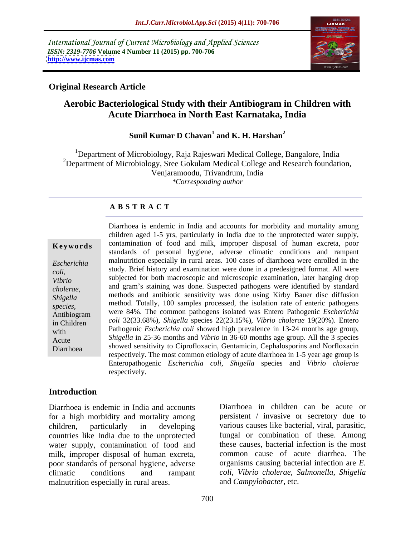International Journal of Current Microbiology and Applied Sciences *ISSN: 2319-7706* **Volume 4 Number 11 (2015) pp. 700-706 <http://www.ijcmas.com>**



### **Original Research Article**

# **Aerobic Bacteriological Study with their Antibiogram in Children with Acute Diarrhoea in North East Karnataka, India**

### Sunil Kumar D Chavan<sup>1</sup> and K. H. Harshan<sup>2</sup> **and K. H. Harshan<sup>2</sup>**

<sup>1</sup>Department of Microbiology, Raja Rajeswari Medical College, Bangalore, India  $2D$  Department of Microbiology, Sree Gokulam Medical College and Research foundation, Venjaramoodu, Trivandrum, India *\*Corresponding author*

# **A B S T R A C T**

Diarrhoea

Diarrhoea is endemic in India and accounts for morbidity and mortality among children aged 1-5 yrs, particularly in India due to the unprotected water supply, **Keywords** contamination of food and milk, improper disposal of human excreta, poor standards of personal hygiene, adverse climatic conditions and rampant malnutrition especially in rural areas. 100 cases of diarrhoea were enrolled in the *Escherichia*  study. Brief history and examination were done in a predesigned format. All were *coli,* subjected for both macroscopic and microscopic examination, later hanging drop *Vibrio*  cholerae, and gram's staining was done. Suspected pathogens were identified by standard methods and antibiotic sensitivity was done using Kirby Bauer disc diffusion *Shigella*  method. Totally, 100 samples processed, the isolation rate of enteric pathogens *species,* Antibiogram were 84%. The common pathogens isolated was Entero Pathogenic *Escherichia coli* 32(33.68%), *Shigella* species 22(23.15%), *Vibrio cholerae* 19(20%). Entero in Children Pathogenic *Escherichia coli* showed high prevalence in 13-24 months age group, Acute Shigella in 25-36 months and *Vibrio* in 36-60 months age group. All the 3 species showed sensitivity to Ciprofloxacin, Gentamicin, Cephalosporins and Norfloxacin respectively. The most common etiology of acute diarrhoea in 1-5 year age group is Enteropathogenic *Escherichia coli*, *Shigella* species and *Vibrio cholerae* respectively.

### **Introduction**

Diarrhoea is endemic in India and accounts for a high morbidity and mortality among children, particularly in developing various causes like bacterial, viral, parasitic, countries like India due to the unprotected water supply, contamination of food and milk, improper disposal of human excreta, poor standards of personal hygiene, adverse climatic conditions and rampant *coli*, *Vibrio cholerae*, *Salmonella*, *Shigella* malnutrition especially in rural areas.

Diarrhoea in children can be acute or persistent / invasive or secretory due to fungal or combination of these. Among these causes, bacterial infection is the most common cause of acute diarrhea. The organisms causing bacterial infection are *E.* and *Campylobacter,* etc.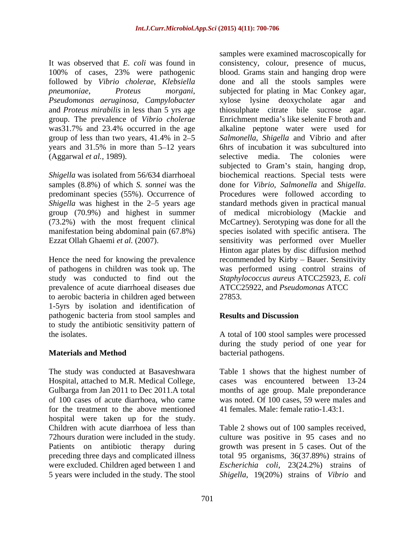followed by *Vibrio cholerae*, *Klebsiella Pseudomonas aeruginosa*, *Campylobacter* and *Proteus mirabilis* in less than 5 yrs age group. The prevalence of *Vibrio cholerae* years and  $31.5\%$  in more than  $5-12$  years

Hence the need for knowing the prevalence of pathogens in children was took up. The prevalence of acute diarrhoeal diseases due ATCC25922, and Pseudomonas ATCC to aerobic bacteria in children aged between 1-5yrs by isolation and identification of pathogenic bacteria from stool samples and **Results and Discussion** to study the antibiotic sensitivity pattern of

The study was conducted at Basaveshwara Hospital, attached to M.R. Medical College, Gulbarga from Jan 2011 to Dec 2011.A total months of age group. Male preponderance of 100 cases of acute diarrhoea, who came was noted. Of 100 cases, 59 were males and for the treatment to the above mentioned hospital were taken up for the study. Children with acute diarrhoea of less than Table 2 shows out of 100 samples received, 72hours duration were included in the study. culture was positive in 95 cases and no Patients on antibiotic therapy during growth was present in 5 cases. Out of the preceding three days and complicated illness total 95 organisms, 36(37.89%) strains of were excluded. Children aged between 1 and *Escherichia coli*, 23(24.2%) strains of 5 years were included in the study. The stool *Shigella*, 19(20%) strains of *Vibrio* and

It was observed that *E. coli* was found in consistency, colour, presence of mucus, 100% of cases, 23% were pathogenic *pneumoniae*, *Proteus morgani*, subjected for plating in Mac Conkey agar, was31.7% and 23.4% occurred in the age alkaline peptone water were used for group of less than two years, 41.4% in 2–5 Salmonella, Shigella and Vibrio and after (Aggarwal *et al.,* 1989). selective media. The colonies were *Shigella* was isolated from 56/634 diarrhoeal biochemical reactions. Special tests were samples (8.8%) of which *S. sonnei* was the done for *Vibrio*, *Salmonella* and *Shigella*. predominant species (55%). Occurrence of Procedures were followed according to *Shigella* was highest in the 2–5 years age standard methods given in practical manual group (70.9%) and highest in summer of medical microbiology (Mackie and (73.2%) with the most frequent clinical McCartney). Serotyping was done for all the manifestation being abdominal pain (67.8%) species isolated with specific antisera. The Ezzat Ollah Ghaemi *et al.* (2007). sensitivity was performed over Mueller study was conducted to find out the *Staphylococcus aureus* ATCC25923, *E. coli* samples were examined macroscopically for blood. Grams stain and hanging drop were done and all the stools samples were xylose lysine deoxycholate agar thiosulphate citrate bile sucrose agar. Enrichment media's like selenite F broth and 6hrs of incubation it was subcultured into subjected to Gram's stain, hanging drop, Hinton agar plates by disc diffusion method recommended by Kirby - Bauer. Sensitivity was performed using control strains of ATCC25922, and *Pseudomonas* ATCC 27853.

# **Results and Discussion**

the isolates. A total of 100 stool samples were processed **Materials and Method** bacterial pathogens. during the study period of one year for bacterial pathogens.

> Table 1 shows that the highest number of cases was encountered between 13-24 41 females. Male: female ratio-1.43:1.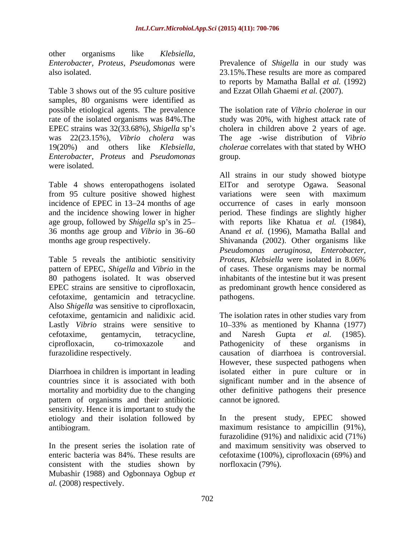other organisms like *Klebsiella*,

Table 3 shows out of the 95 culture positive and Ezzat Ollah Ghaemi et al. (2007). samples, 80 organisms were identified as possible etiological agents. The prevalence The isolation rate of *Vibrio cholerae* in our was 22(23.15%), *Vibrio cholera* was *Enterobacter*, *Proteus* and *Pseudomonas*  were isolated.

Table 4 shows enteropathogens isolated incidence of EPEC in 13–24 months of age 36 months age group and *Vibrio* in 36 60

Table 5 reveals the antibiotic sensitivity pattern of EPEC, *Shigella* and *Vibrio* in the of cases. These organisms may be normal 80 pathogens isolated. It was observed inhabitants of the intestine but it was present EPEC strains are sensitive to ciprofloxacin, as predominant growth hence considered as cefotaxime, gentamicin and tetracycline. Also *Shigella* was sensitive to ciprofloxacin, cefotaxime, gentamicin and nalidixic acid. The isolation rates in other studies vary from Lastly Vibrio strains were sensitive to 10–33% as mentioned by Khanna (1977) cefotaxime, gentamycin, tetracycline, and Naresh Gupta et al. (1985). ciprofloxacin, co-trimoxazole and

pattern of organisms and their antibiotic sensitivity. Hence it is important to study the etiology and their isolation followed by

consistent with the studies shown by norrhoxacin (79%). Mubashir (1988) and Ogbonnaya Ogbup *et al.* (2008) respectively.

*Enterobacter, Proteus, Pseudomonas* were Prevalence of *Shigella* in our study was also isolated. 23.15%.These results are more as compared to reports by Mamatha Ballal *et al.* (1992)

rate of the isolated organisms was 84%. The study was 20%, with highest attack rate of EPEC strains was 32(33.68%), *Shigella* sp's cholera in children above 2 years of age. 19(20%) and others like *Klebsiella*, *cholerae* correlates with that stated by WHO and Ezzat Ollah Ghaemi *et al.* (2007). The isolation rate of *Vibrio cholerae* in our The age-wise distribution of *Vibrio* group. The contract of the contract of the contract of the contract of the contract of the contract of the contract of the contract of the contract of the contract of the contract of the contract of the contract of the con

from 95 culture positive showed highest variations were seen with maximum and the incidence showing lower in higher period. These findings are slightly higher age group, followed by *Shigella* sp's in 25- with reports like Khatua *et al.* (1984), months age group respectively. Shivananda (2002). Other organisms like All strains in our study showed biotype ElTor and serotype Ogawa. Seasonal occurrence of cases in early monsoon Anand *et al.* (1996), Mamatha Ballal and *Pseudomonas aeruginosa*, *Enterobacter, Proteus, Klebsiella* were isolated in 8.06% pathogens.

furazolidine respectively. causation of diarrhoea is controversial. Diarrhoea in children is important in leading isolated either in pure culture or in countries since it is associated with both significant number and in the absence of mortality and morbidity due to the changing other definitive pathogens their presence and Naresh Gupta *et al.* (1985). Pathogenicity of these organisms in However, these suspected pathogens when cannot be ignored.

antibiogram. maximum resistance to ampicillin (91%), In the present series the isolation rate of and maximum sensitivity was observed to enteric bacteria was 84%. These results are cefotaxime (100%), ciprofloxacin (69%) and In the present study, EPEC showed furazolidine (91%) and nalidixic acid (71%) norfloxacin (79%).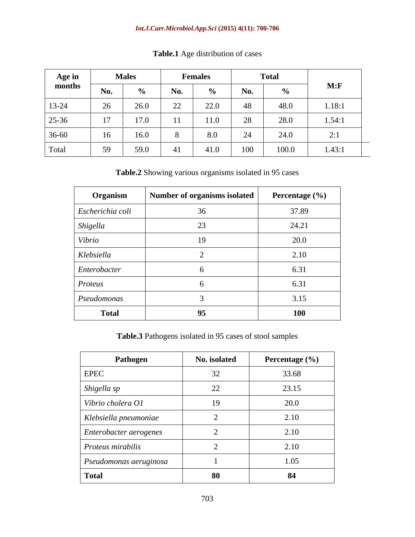| Age in $\qquad \qquad$ |                    | <b>Males</b> | <b>Females</b> |      | <b>Total</b> |       |                               |
|------------------------|--------------------|--------------|----------------|------|--------------|-------|-------------------------------|
| months                 | No.                |              |                |      |              |       | M: F                          |
| $13-24$                | 26                 | 26.0         | 22             | 22.0 |              | 48.0  | 1.18:1                        |
| $25 - 36$              |                    | 17.0         | $\mathbf{1}$   | 11.0 |              | 28.0  | 1.54:1                        |
| 36-60                  | and a state of the | 16.0         |                |      |              |       | $\mathbf{a} \cdot \mathbf{1}$ |
| Total                  |                    | 59.0         |                | 41.0 | 100          | 100.0 | 1.43:1                        |

**Table.1** Age distribution of cases

**Table.2** Showing various organisms isolated in 95 cases

| Organism         | Number of organisms isolated | Percentage (%) |
|------------------|------------------------------|----------------|
| Escherichia coli |                              | 37.89          |
| Shigella         | $\mathcal{L}$                | 24.21          |
| Vibrio           |                              | 20.0           |
| Klebsiella       |                              | 2.10           |
| Enterobacter     |                              | 6.31           |
| Proteus          |                              | 6.31           |
| Pseudomonas      |                              | 3.15           |
| <b>Total</b>     | 95                           | <b>100</b>     |

**Table.3** Pathogens isolated in 95 cases of stool samples

| Pathogen               | No. isolated | Percentage (%) |
|------------------------|--------------|----------------|
| <b>EPEC</b>            | 32           | 33.68          |
| Shigella sp            | 22           | 23.15          |
| Vibrio cholera O1      | 19           | 20.0           |
| Klebsiella pneumoniae  |              | 2.10           |
| Enterobacter aerogenes |              | 2.10           |
| Proteus mirabilis      |              | 2.10           |
| Pseudomonas aeruginosa |              | 1.05           |
| <b>Total</b>           | 80           | 84             |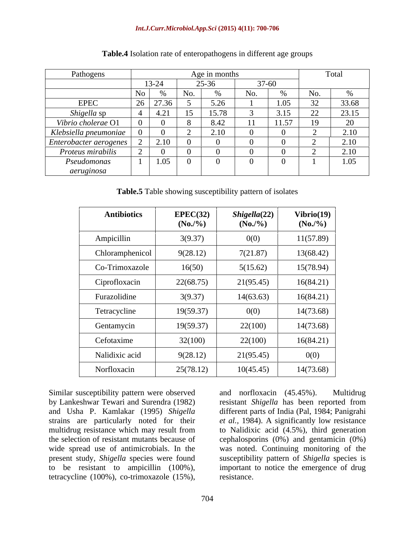### *Int.J.Curr.Microbiol.App.Sci* **(2015) 4(11): 700-706**

| Pathogens              |                                       | Age in months      |     |       |                          | Total                       |
|------------------------|---------------------------------------|--------------------|-----|-------|--------------------------|-----------------------------|
|                        | $13-24$                               | 25-36<br>$37 - 60$ |     |       |                          |                             |
|                        | $N_{\Omega}$                          |                    | No. |       | No.                      |                             |
| <b>EPEC</b>            | $\frac{1}{6}$   27.36   $\frac{1}{2}$ | 5.26<br>,∠∪        |     | 1.05  |                          | 33.68                       |
| <i>Shigella</i> sp     | $+4.21$                               |                    |     | 3.15  | $\overline{\mathcal{L}}$ | 23.15                       |
| Vibrio cholerae O1     |                                       | 8.42               |     | 11.57 | 19                       |                             |
| Klebsiella pneumoniae  |                                       | $\angle 10$        |     |       |                          | 2.10                        |
| Enterobacter aerogenes | 2.10                                  |                    |     |       |                          | $\sim$ $\sim$ $\sim$ $\sim$ |
| Proteus mirabilis      |                                       |                    |     |       |                          | 2.1 <sub>0</sub>            |
| Pseudomonas            | 1.05                                  |                    |     |       |                          | 1.05                        |
| aeruginosa             |                                       |                    |     |       |                          |                             |

### **Table.4** Isolation rate of enteropathogens in different age groups

**Table.5** Table showing susceptibility pattern of isolates

| <b>Antibiotics</b> | EPEC(32)<br>$(No./\%)$ | Shigella(22)<br>$(N_0/9/6)$ | Vibrio(19)<br>$(N_0/9/6)$ |
|--------------------|------------------------|-----------------------------|---------------------------|
| Ampicillin         | 3(9.37)                | 0(0)                        | 11(57.89)                 |
| Chloramphenicol    | 9(28.12)               | 7(21.87)                    | 13(68.42)                 |
| Co-Trimoxazole     | 16(50)                 | 5(15.62)                    | 15(78.94)                 |
| Ciprofloxacin      | 22(68.75)              | 21(95.45)                   | 16(84.21)                 |
| Furazolidine       | 3(9.37)                | 14(63.63)                   | 16(84.21)                 |
| Tetracycline       | 19(59.37)              | 0(0)                        | 14(73.68)                 |
| Gentamycin         | 19(59.37)              | 22(100)                     | 14(73.68)                 |
| Cefotaxime         | 32(100)                | 22(100)                     | 16(84.21)                 |
| Nalidixic acid     | 9(28.12)               | 21(95.45)                   | 0(0)                      |
| Norfloxacin        | 25(78.12)              | 10(45.45)                   | 14(73.68)                 |

Similar susceptibility pattern were observed and norfloxacin (45.45%). Multidrug Similar susceptibility pattern were observed<br>by Lankeshwar Tewari and Surendra (1982) resistant *Shigella* has been reported from<br>and Usha P. Kamlakar (1995) *Shigella* different parts of India (Pal, 1984; Panigrahi<br>strai

by Lankeshwar Tewari and Surendra (1982) resistant *Shigella* has been reported from and Usha P. Kamlakar (1995) *Shigella* different parts of India (Pal, 1984; Panigrahi strains are particularly noted for their *et al.,* 1984). A significantly low resistance multidrug resistance which may result from to Nalidixic acid (4.5%), third generation the selection of resistant mutants because of cephalosporins (0%) and gentamicin (0%) wide spread use of antimicrobials. In the was noted. Continuing monitoring of the present study, *Shigella* species were found susceptibility pattern of *Shigella* species is to be resistant to ampicillin (100%), important to notice the emergence of drug resistance.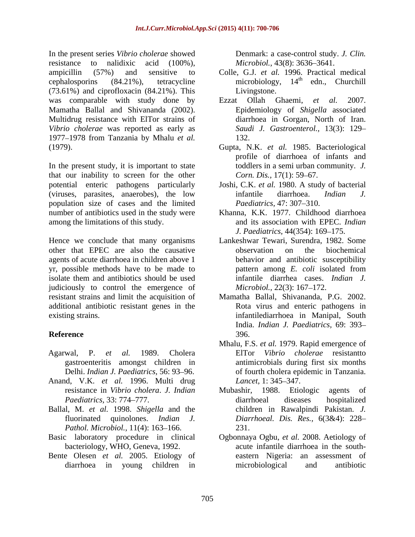In the present series *Vibrio cholerae* showed resistance to nalidixic acid (100%), *Microbiol.*, 43(8): 3636–3641. ampicillin (57%) and sensitive to Colle, G.J. *et al.* 1996. Practical medical cephalosporins (84.21%), tetracycline microbiology, 14<sup>th</sup> edn., Churchill (73.61%) and ciprofloxacin (84.21%). This was comparable with study done by Ezzat Ollah Ghaemi, et al. 2007. Mamatha Ballal and Shivananda (2002). Multidrug resistance with ElTor strains of *Vibrio cholerae* was reported as early as 1977 1978 from Tanzania by Mhalu *et al.*

that our inability to screen for the other Corn. Dis., 17(1): 59–67. potential enteric pathogens particularly (viruses, parasites, anaerobes), the low infantile diarrhoea. *Indian J.* population size of cases and the limited number of antibiotics used in the study were among the limitations of this study. and its association with EPEC. *Indian* 

Hence we conclude that many organisms other that EPEC are also the causative agents of acute diarrhoea in children above 1 yr, possible methods have to be made to pattern among E. coli isolated from isolate them and antibiotics should be used judiciously to control the emergence of resistant strains and limit the acquisition of Mamatha Ballal, Shivananda, P.G. 2002. additional antibiotic resistant genes in the existing strains. infantilediarrhoea in Manipal, South

- Agarwal, P. *et al.* 1989. Cholera gastroenteritis amongst children in
- Anand, V.K. *et al.* 1996. Multi drug
- Ballal, M. *et al.* 1998. *Shigella* and the *Pathol. Microbiol.,* 11(4): 163–166. 231.
- 
- Bente Olesen *et al.* 2005. Etiology of

Denmark: a case-control study. *J. Clin.* 

- Livingstone.
- Ezzat Ollah Ghaemi, *et al.* 2007. Epidemiology of *Shigella* associated diarrhoea in Gorgan, North of Iran. *Saudi J. Gastroenterol.,* 13(3): 129 132.
- (1979).<br>
In the present study, it is important to state  $\begin{array}{c} \text{Inputs} \\ \text{In the present study, it is to state} \end{array}$  (1979).<br>
In the present study, it is important to state toddlers in a semi urban community. J. Gupta, N.K. *et al.* 1985. Bacteriological profile of diarrhoea of infants and toddlers in a semi urban community. *J. Corn. Dis.,* 17(1): 59–67.
	- Joshi, C.K. *et al.* 1980. A study of bacterial infantile diarrhoea. *Indian J. Paediatrics, 47: 307–310.*
	- Khanna, K.K. 1977. Childhood diarrhoea *J. Paediatrics, 44(354): 169-175.*
	- Lankeshwar Tewari, Surendra, 1982. Some observation on the biochemical behavior and antibiotic susceptibility pattern among *E. coli* isolated from infantile diarrhea cases. *Indian J. Microbiol.,* 22(3): 167–172.
- **Reference** Rota virus and enteric pathogens in India. *Indian J. Paediatrics,* 69: 393 396.
	- Delhi. *Indian J. Paediatrics*, 56: 93–96. of fourth cholera epidemic in Tanzania. Mhalu, F.S. *et al.* 1979. Rapid emergence of ElTor *Vibrio cholerae* resistantto antimicrobials during first six months *Lancet,* 1: 345–347.
	- resistance in *Vibrio cholera*. *J. Indian Paediatrics,* 33: 774–777. diarrhoeal diseases hospitalized fluorinated quinolones. *Indian J. Diarrhoeal. Dis. Res.,* 6(3&4): 228 Mubashir, 1988. Etiologic agents of diarrhoeal diseases hospitalized children in Rawalpindi Pakistan. *J.*  231.
- Basic laboratory procedure in clinical Ogbonnaya Ogbu, *et al.* 2008. Aetiology of bacteriology, WHO, Geneva, 1992. acute infantile diarrhoea in the south diarrhoea in young children in microbiological and antibiotic eastern Nigeria: an assessment of microbiological and antibiotic